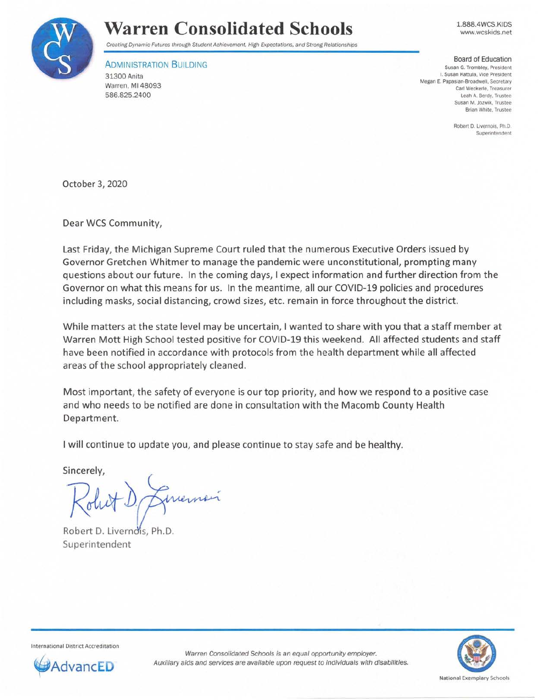

## **Warren Consolidated Schools**

1.888.4WCS.KIDS www.wcskids.net

Creating Dynamic Futures through Student Achievement. High Expectations, and Strong Relationships

**ADMINISTRATION BUILDING** 31300 Anita Warren, Ml 48093 586.825.2400

Board of Education Susan G. Trombley, President I. Susan Kattula, Vice President Megan E. Papasian-Broadwell. Secretary Carl Weckerle, Treasurer Leah A. Berdy. Trustee Susan M. Jozwik, Trustee Brian White, Trustee

> Robert D. Livernois. Ph.D. Superintendent

October 3, 2020

Dear WCS Community,

Last Friday, the Michigan Supreme Court ruled that the numerous Executive Orders issued by Governor Gretchen Whitmer to manage the pandemic were unconstitutional, prompting many questions about our future. In the coming days, I expect information and further direction from the Governor on what this means for us. In the meantime, all our COVID-19 policies and procedures including masks, social distancing, crowd sizes, etc. remain in force throughout the district.

While matters at the state level may be uncertain, I wanted to share with you that a staff member at Warren Mott High School tested positive for COVID-19 this weekend. All affected students and staff have been notified in accordance with protocols from the health department while all affected areas of the school appropriately cleaned.

Most important, the safety of everyone is our top priority, and how we respond to a positive case and who needs to be notified are done in consultation with the Macomb County Health Department.

I will continue to update you, and please continue to stay safe and be healthy.

Sincerely,

Robert D. Livernois, Ph.D. Superintendent

Intern ational Oistrict Accred itation